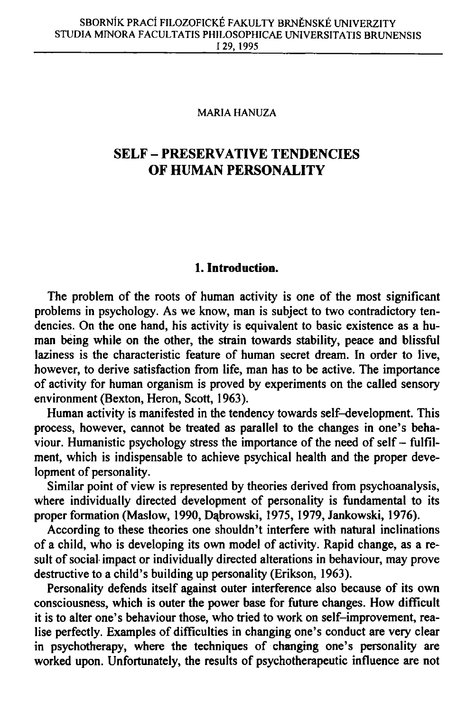#### MARIA HANUZA

# **SELF - PRESERVATIVE TENDENCIES OF HUMA N PERSONALITY**

## **1. Introduction.**

The problem of the roots of human activity is one of the most significant problems in psychology. As we know, man is subject to two contradictory tendencies. On the one hand, his activity is equivalent to basic existence as a human being while on the other, the strain towards stability, peace and blissful laziness is the characteristic feature of human secret dream. In order to live, however, to derive satisfaction from life, man has to be active. The importance of activity for human organism is proved by experiments on the called sensory environment (Bexton, Heron, Scott, 1963).

Human activity is manifested in the tendency towards self-development. This process, however, cannot be treated as parallel to the changes in one's behaviour. Humanistic psychology stress the importance of the need of self  $-$  fulfilment, which is indispensable to achieve psychical health and the proper development of personality.

Similar point of view is represented by theories derived from psychoanalysis, where individually directed development of personality is fundamental to its proper formation (Maslow, 1990, Dabrowski, 1975, 1979, Jankowski, 1976).

According to these theories one shouldn't interfere with natural inclinations of a child, who is developing its own model of activity. Rapid change, as a result of social impact or individually directed alterations in behaviour, may prove destructive to a child's building up personality (Erikson, 1963).

Personality defends itself against outer interference also because of its own consciousness, which is outer the power base for future changes. How difficult it is to alter one's behaviour those, who tried to work on self-improvement, realise perfectly. Examples of difficulties in changing one's conduct are very clear in psychotherapy, where the techniques of changing one's personality are worked upon. Unfortunately, the results of psychotherapeutic influence are not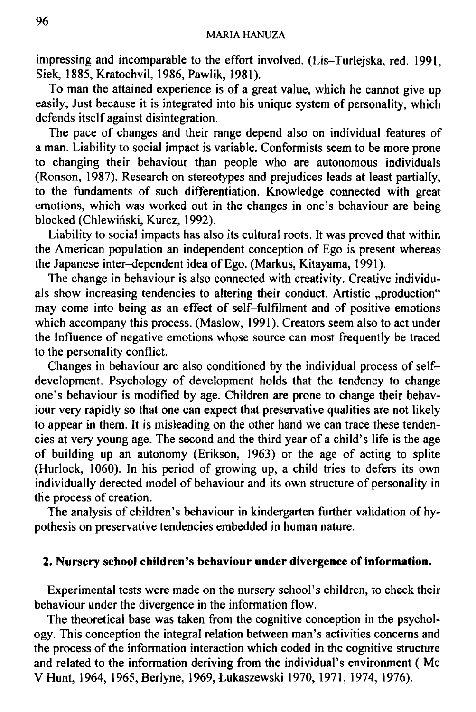impressing and incomparable to the effort involved. (Lis-Turlejska, red. 1991, Siek, 1885,Kratochvil, 1986, Pawlik, 1981).

To man the attained experience is of a great value, which he cannot give up easily, Just because it is integrated into his unique system of personality, which defends itself against disintegration.

The pace of changes and their range depend also on individual features of a man. Liability to social impact is variable. Conformists seem to be more prone to changing their behaviour than people who are autonomous individuals (Ronson, 1987). Research on stereotypes and prejudices leads at least partially, to the fundaments of such differentiation. Knowledge connected with great emotions, which was worked out in the changes in one's behaviour are being blocked (Chlewinski, Kurcz, 1992).

Liability to social impacts has also its cultural roots. It was proved that within the American population an independent conception of Ego is present whereas the Japanese inter-dependent idea of Ego. (Markus, Kitayama, 1991).

The change in behaviour is also connected with creativity. Creative individuals show increasing tendencies to altering their conduct. Artistic "production" may come into being as an effect of self-fulfilment and of positive emotions which accompany this process. (Maslow, 1991). Creators seem also to act under the Influence of negative emotions whose source can most frequently be traced to the personality conflict.

Changes in behaviour are also conditioned by the individual process of selfdevelopment. Psychology of development holds that the tendency to change one's behaviour is modified by age. Children are prone to change their behaviour very rapidly so that one can expect that preservative qualities are not likely to appear in them. It is misleading on the other hand we can trace these tendencies at very young age. The second and the third year of a child's life is the age of building up an autonomy (Erikson, 1963) or the age of acting to splite (Hurlock, 1060). In his period of growing up, a child tries to defers its own individually derected model of behaviour and its own structure of personality in the process of creation.

The analysis of children's behaviour in kindergarten further validation of hypothesis on preservative tendencies embedded in human nature.

## **2. Nursery school children's behaviour under divergence of information.**

Experimental tests were made on the nursery school's children, to check their behaviour under the divergence in the information flow.

The theoretical base was taken from the cognitive conception in the psychology. This conception the integral relation between man's activities concerns and the process of the information interaction which coded in the cognitive structure and related to the information deriving from the individual's environment ( Mc VHunt, 1964, 1965, Berlyne, 1969, Lukaszewski 1970, 1971, 1974, 1976).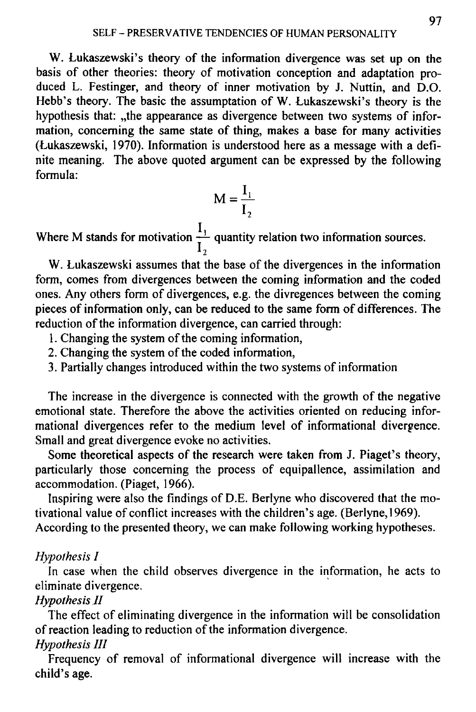W. Lukaszewski's theory of the information divergence was set up on the basis of other theories: theory of motivation conception and adaptation produced L. Festinger, and theory of inner motivation by J. Nuttin, and D.O. Hebb's theory. The basic the assumptation of W. Lukaszewski's theory is the hypothesis that: "the appearance as divergence between two systems of information, concerning the same state of thing, makes a base for many activities (Lukaszewski, 1970). Information is understood here as a message with a definite meaning. The above quoted argument can be expressed by the following formula:

$$
M = \frac{I_1}{I_2}
$$

Where M stands for motivation  $\frac{I_1}{I_2}$  quantity relation two information sources.

W. Lukaszewski assumes that the base of the divergences in the information form, comes from divergences between the coming information and the coded ones. Any others form of divergences, e.g. the divregences between the coming pieces of information only, can be reduced to the same form of differences. The reduction of the information divergence, can carried through:

- 1. Changing the system of the coming information,
- 2. Changing the system of the coded information,
- 3. Partially changes introduced within the two systems of information

The increase in the divergence is connected with the growth of the negative emotional state. Therefore the above the activities oriented on reducing informational divergences refer to the medium level of informational divergence. Small and great divergence evoke no activities.

Some theoretical aspects of the research were taken from J. Piaget's theory, particularly those concerning the process of equipallence, assimilation and accommodation. (Piaget, 1966).

Inspiring were also the findings of D.E. Berlyne who discovered that the motivational value of conflict increases with the children's age. (Berlyne, 1969). According to the presented theory, we can make following working hypotheses.

### *Hypothesis I*

In case when the child observes divergence in the information, he acts to eliminate divergence.

## *Hypothesis II*

The effect of eliminating divergence in the information will be consolidation of reaction leading to reduction of the information divergence.

## *Hypothesis III*

Frequency of removal of informational divergence will increase with the child's age.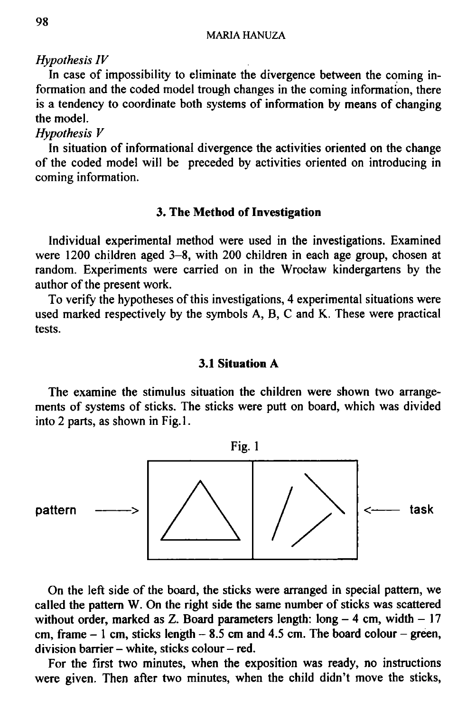### *Hypothesis IV*

In case of impossibility to eliminate the divergence between the coming information and the coded model trough changes in the coming information, there is a tendency to coordinate both systems of information by means of changing the model.

## *Hypothesis V*

In situation of informational divergence the activities oriented on the change of the coded model will be preceded by activities oriented on introducing in coming information.

### **3. The Method of Investigation**

Individual experimental method were used in the investigations. Examined were 1200 children aged 3-8, with 200 children in each age group, chosen at random. Experiments were carried on in the Wrocław kindergartens by the author of the present work.

To verify the hypotheses of this investigations, 4 experimental situations were used marked respectively by the symbols A, B, C and K. These were practical tests.

### **3.1 Situation A**

The examine the stimulus situation the children were shown two arrangements of systems of sticks. The sticks were putt on board, which was divided into 2 parts, as shown in Fig.l.



On the left side of the board, the sticks were arranged in special pattern, we called the pattern W. On the right side the same number of sticks was scattered without order, marked as Z. Board parameters length:  $long - 4$  cm, width  $-17$ cm, frame  $-1$  cm, sticks length  $-8.5$  cm and 4.5 cm. The board colour  $-$  green, division barrier - white, sticks colour  $-$  red.

For the first two minutes, when the exposition was ready, no instructions were given. Then after two minutes, when the child didn't move the sticks,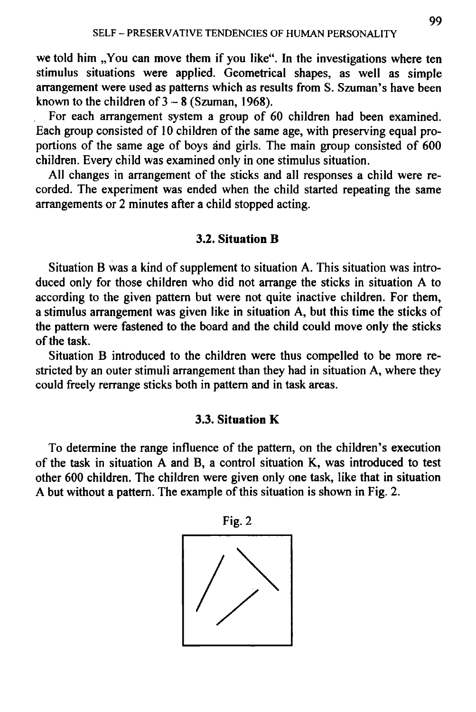we told him "You can move them if you like". In the investigations where ten stimulus situations were applied. Geometrical shapes, as well as simple arrangement were used as patterns which as results from S. Szuman's have been known to the children of  $3 - 8$  (Szuman, 1968).

For each arrangement system a group of 60 children had been examined. Each group consisted of 10 children of the same age, with preserving equal proportions of the same age of boys and girls. The main group consisted of 600 children. Every child was examined only in one stimulus situation.

All changes in arrangement of the sticks and all responses a child were recorded. The experiment was ended when the child started repeating the same arrangements or 2 minutes after a child stopped acting.

#### **3.2. Situation B**

Situation B was a kind of supplement to situation A. This situation was introduced only for those children who did not arrange the sticks in situation A to according to the given pattern but were not quite inactive children. For them, a stimulus arrangement was given like in situation A, but this time the sticks of the pattern were fastened to the board and the child could move only the sticks of the task.

Situation B introduced to the children were thus compelled to be more restricted by an outer stimuli arrangement than they had in situation A, where they could freely rerrange sticks both in pattern and in task areas.

### **3.3. Situation K**

To determine the range influence of the pattern, on the children's execution of the task in situation A and B, a control situation K, was introduced to test other 600 children. The children were given only one task, like that in situation A but without a pattern. The example of this situation is shown in Fig. 2.

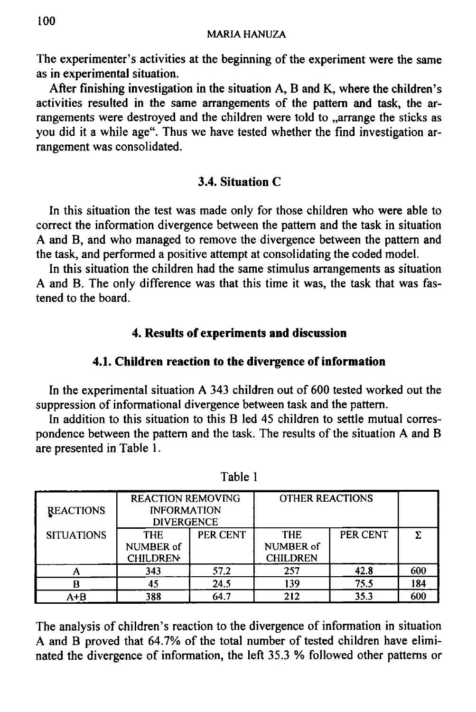The experimenter's activities at the beginning of the experiment were the same as in experimental situation.

After finishing investigation in the situation A, B and K, where the children's activities resulted in the same arrangements of the partem and task, the arrangements were destroyed and the children were told to  $\alpha$  arrange the sticks as you did it a while age". Thus we have tested whether the find investigation arrangement was consolidated.

## **3.4. Situation C**

In this situation the test was made only for those children who were able to correct the information divergence between the pattern and the task in situation A and B, and who managed to remove the divergence between the pattern and the task, and performed a positive attempt at consolidating the coded model.

In this situation the children had the same stimulus arrangements as situation A and B. The only difference was that this time it was, the task that was fastened to the board.

## **4. Results of experiments and discussion**

### **4.1. Children reaction to the divergence of information**

In the experimental situation A 343 children out of 600 tested worked out the suppression of informational divergence between task and the pattern.

In addition to this situation to this B led 45 children to settle mutual correspondence between the pattern and the task. The results of the situation A and B are presented in Table 1.

| <b>REACTIONS</b>  | <b>REACTION REMOVING</b><br><b>INFORMATION</b><br><b>DIVERGENCE</b> |          | <b>OTHER REACTIONS</b>                     |          |     |
|-------------------|---------------------------------------------------------------------|----------|--------------------------------------------|----------|-----|
| <b>SITUATIONS</b> | <b>THE</b><br><b>NUMBER of</b><br><b>CHILDREN</b>                   | PER CENT | <b>THE</b><br>NUMBER of<br><b>CHILDREN</b> | PER CENT |     |
|                   | 343                                                                 | 57.2     | 257                                        | 42.8     | 600 |
|                   | 45                                                                  | 24.5     | 139                                        | 75.5     | 184 |
| A+B               | 388                                                                 | 64.7     | 212                                        | 35.3     | 600 |

Table 1

The analysis of children's reaction to the divergence of information in situation A and B proved that 64.7% of the total number of tested children have eliminated the divergence of information, the left 35.3 % followed other patterns or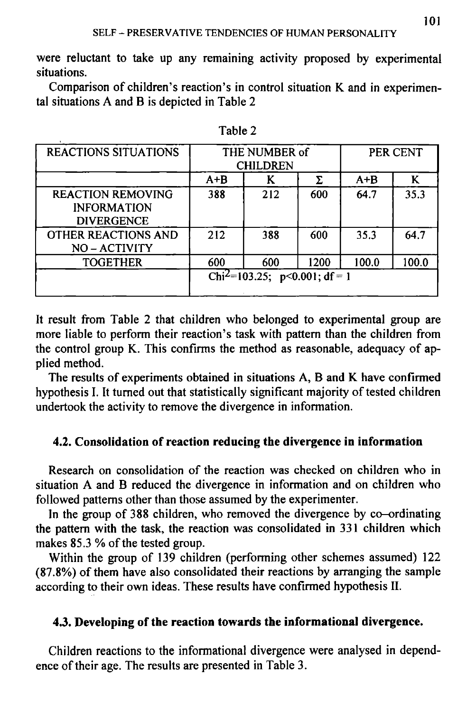were reluctant to take up any remaining activity proposed by experimental situations.

Comparison of children's reaction's in control situation K and in experimental situations A and B is depicted in Table 2

| <b>REACTIONS SITUATIONS</b>                                         | THE NUMBER of<br><b>CHILDREN</b>          |     |      | PER CENT |       |
|---------------------------------------------------------------------|-------------------------------------------|-----|------|----------|-------|
|                                                                     | $A + B$                                   |     | Σ.   | $A + B$  | K     |
| <b>REACTION REMOVING</b><br><b>INFORMATION</b><br><b>DIVERGENCE</b> | 388                                       | 212 | 600  | 64.7     | 35.3  |
| OTHER REACTIONS AND<br>NO-ACTIVITY                                  | 212                                       | 388 | 600  | 35.3     | 64.7  |
| <b>TOGETHER</b>                                                     | 600                                       | 600 | 1200 | 100.0    | 100.0 |
|                                                                     | Chi <sup>2</sup> =103.25; p<0.001; df = 1 |     |      |          |       |

Table 2

It result from Table 2 that children who belonged to experimental group are more liable to perform their reaction's task with pattern than the children from the control group K. This confirms the method as reasonable, adequacy of applied method.

The results of experiments obtained in situations A, B and K have confirmed hypothesis I. It turned out that statistically significant majority of tested children undertook the activity to remove the divergence in information.

## **4.2. Consolidation of reaction reducing the divergence in information**

Research on consolidation of the reaction was checked on children who in situation A and B reduced the divergence in information and on children who followed patterns other than those assumed by the experimenter.

In the group of 388 children, who removed the divergence by co-ordinating the pattern with the task, the reaction was consolidated in 331 children which makes 85.3 % of the tested group.

Within the group of 139 children (performing other schemes assumed) 122 (87.8%) of them have also consolidated their reactions by arranging the sample according to their own ideas. These results have confirmed hypothesis II.

## **4.3. Developing of the reaction towards the informational divergence.**

Children reactions to the informational divergence were analysed in dependence of their age. The results are presented in Table 3.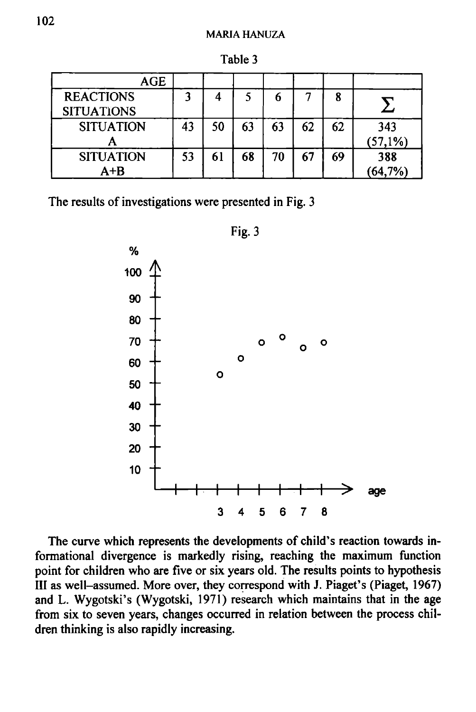| <b>AGE</b>        |    |    |    |    |    |    |         |
|-------------------|----|----|----|----|----|----|---------|
| <b>REACTIONS</b>  |    |    |    |    |    | 8  |         |
| <b>SITUATIONS</b> |    |    |    |    |    |    |         |
| <b>SITUATION</b>  | 43 | 50 | 63 | 63 | 62 | 62 | 343     |
|                   |    |    |    |    |    |    | (57,1%) |
| <b>SITUATION</b>  | 53 | 61 | 68 | 70 | 67 | 69 | 388     |
| $A+B$             |    |    |    |    |    |    | 64,7%)  |

Table 3

The results of investigations were presented in Fig. 3



The curve which represents the developments of child's reaction towards informational divergence is markedly rising, reaching the maximum function point for children who are five or six years old. The results points to hypothesis III as well-assumed. More over, they correspond with J. Piaget's (Piaget, 1967) and L. Wygotski's (Wygotski, 1971) research which maintains that in the age from six to seven years, changes occurred in relation between the process children thinking is also rapidly increasing.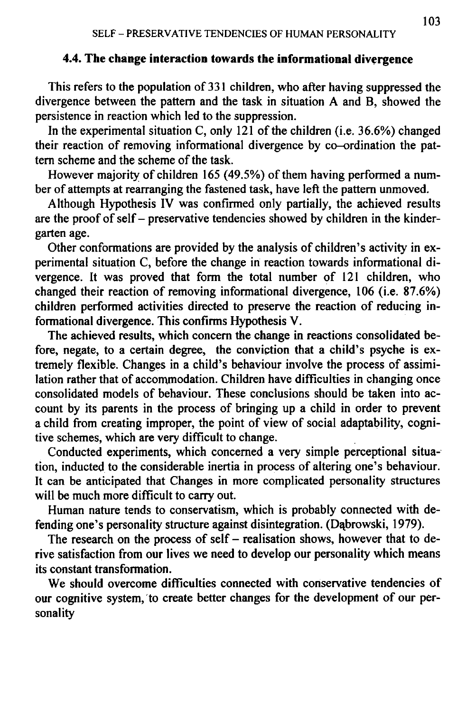## **4.4. The change interaction towards the informational divergence**

This refers to the population of 331 children, who after having suppressed the divergence between the pattern and the task in situation A and B, showed the persistence in reaction which led to the suppression.

In the experimental situation C, only 121 of the children (i.e.  $36.6\%$ ) changed their reaction of removing informational divergence by co-ordination the pattern scheme and the scheme of the task.

However majority of children 165 (49.5%) of them having performed a number of attempts at rearranging the fastened task, have left the pattern unmoved.

Although Hypothesis IV was confirmed only partially, the achieved results are the proof of self - preservative tendencies showed by children in the kindergarten age.

Other conformations are provided by the analysis of children's activity in experimental situation C, before the change in reaction towards informational divergence. It was proved that form the total number of 121 children, who changed their reaction of removing informational divergence, 106 (i.e. 87.6%) children performed activities directed to preserve the reaction of reducing informational divergence. This confirms Hypothesis V .

The achieved results, which concern the change in reactions consolidated before, negate, to a certain degree, the conviction that a child's psyche is extremely flexible. Changes in a child's behaviour involve the process of assimilation rather that of accommodation. Children have difficulties in changing once consolidated models of behaviour. These conclusions should be taken into account by its parents in the process of bringing up a child in order to prevent a child from creating improper, the point of view of social adaptability, cognitive schemes, which are very difficult to change.

Conducted experiments, which concerned a very simple perceptional situation, inducted to the considerable inertia in process of altering one's behaviour. It can be anticipated that Changes in more complicated personality structures will be much more difficult to carry out.

Human nature tends to conservatism, which is probably connected with defending one's personality structure against disintegration. (Dabrowski, 1979).

The research on the process of self  $-$  realisation shows, however that to derive satisfaction from our lives we need to develop our personality which means its constant transformation.

We should overcome difficulties connected with conservative tendencies of our cognitive system, to create better changes for the development of our personality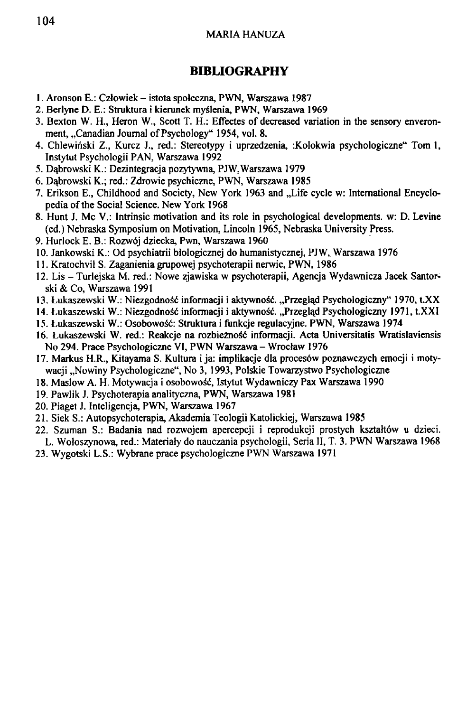### **BIBLIOGRAPHY**

- 1. Aronson E.: Czlowiek istota spoleczna, PWN, Warszawa 1987
- 2. Berlyne D. E.: Struktura i kierunek myslenia, PWN, Warszawa 1969
- 3. Bexton W. H., Heron W., Scott T. H.: Effectes of decreased variation in the sensory enveronment, "Canadian Journal of Psychology" 1954, vol. 8.
- 4. Chlewinski Z., Kurcz J., red.: Stereotypy i uprzedzenia, :Kolokwia psychologiczne" Tom 1, Instytut Psychologii PAN, Warszawa 1992
- 5. Dabrowski K.: Dezintegracja pozytywna, PJW,Warszawa 1979
- 6. Dabrowski K.; red.: Zdrowie psychiczne, PWN, Warszawa 1985
- 7. Erikson E., Childhood and Society, New York 1963 and "Life cycle w: International Encyclopedia of the Social Science. New York 1968
- 8. Hunt J. Mc V.: Intrinsic motivation and its role in psychological developments, w: D. Levine (ed.) Nebraska Symposium on Motivation, Lincoln 1965, Nebraska University Press.
- 9. Hurlock E. B.: Rozwoj dziecka, Pwn, Warszawa 1960
- 10. Jankowski K.: Od psychiatrii biologicznej do humanistycznej, PJW, Warszawa 1976
- 11. Kratochvil S. Zaganienia grupowej psychoterapii nerwic, PWN, 1986
- 12. Lis Turlejska M. red.: Nowe zjawiska w psychoterapii, Agencja Wydawnicza Jacek Santorski & Co, Warszawa 1991
- 13. Łukaszewski W.: Niezgodność informacji i aktywność. "Przeglad Psychologiczny" 1970, t.XX
- 14. Lukaszewski W.: Niezgodność informacji i aktywność. "Przegląd Psychologiczny 1971, t.XXI
- 15. Łukaszewski W.: Osobowość: Struktura i funkcje regulacyjne. PWN, Warszawa 1974
- 16. Łukaszewski W. red.: Reakcje na rozbieżność informacji. Acta Universitatis Wratislaviensis No 294. Prace Psychologiczne VI, PWN Warszawa - Wroclaw 1976
- 17. Markus H.R., Kitayama S. Kultura i ja: implikacje dla proces6w poznawczych emocji i motywacji "Nowiny Psychologiczne", No 3, 1993, Polskie Towarzystwo Psychologiczne
- 18. Maslow A. H. Motywacja i osobowość, Istytut Wydawniczy Pax Warszawa 1990
- 19. Pawlik J. Psychoterapia analityczna, PWN, Warszawa 1981
- 20. Piaget J. Inteligencja, PWN, Warszawa 1967
- 21. Siek S.: Autopsychoterapia, Akademia Teologii Katolickiej, Warszawa 1985
- 22. Szuman S.: Badania nad rozwojem apercepcji i reprodukcji prostych ksztah6w u dzieci. L. Woloszynowa, red.: Materiary do nauczania psychologii, Seria II, T. 3. PWN Warszawa 1968
- 23. Wygotski L.S.: Wybrane prace psychologiczne PWN Warszawa 1971